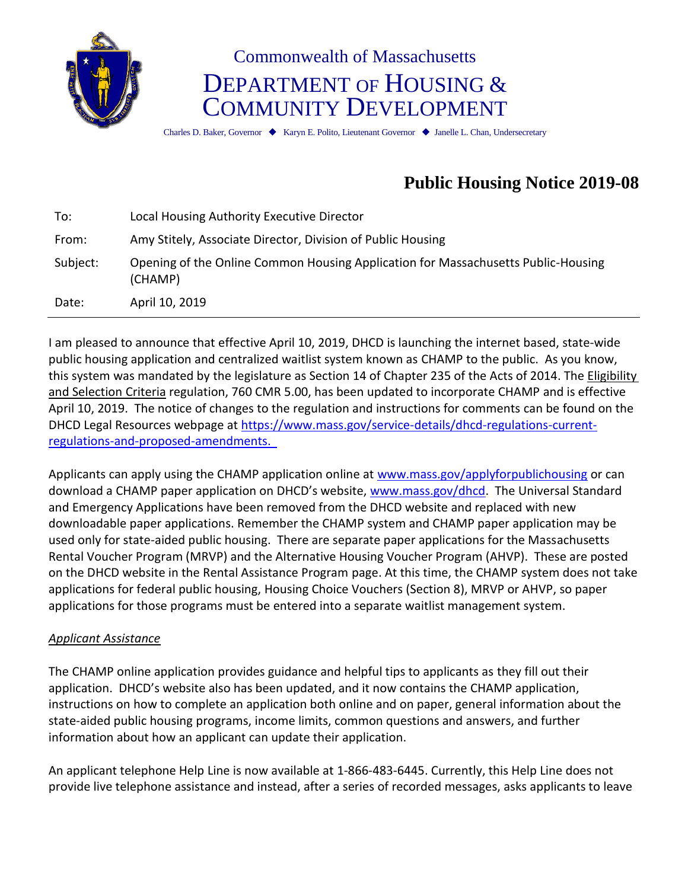

# Commonwealth of Massachusetts DEPARTMENT OF HOUSING & COMMUNITY DEVELOPMENT

Charles D. Baker, Governor ♦ Karyn E. Polito, Lieutenant Governor ♦ Janelle L. Chan, Undersecretary

# **Public Housing Notice 2019-08**

| To:      | Local Housing Authority Executive Director                                                   |
|----------|----------------------------------------------------------------------------------------------|
| From:    | Amy Stitely, Associate Director, Division of Public Housing                                  |
| Subject: | Opening of the Online Common Housing Application for Massachusetts Public-Housing<br>(CHAMP) |
| Date:    | April 10, 2019                                                                               |

I am pleased to announce that effective April 10, 2019, DHCD is launching the internet based, state-wide public housing application and centralized waitlist system known as CHAMP to the public. As you know, this system was mandated by the legislature as Section 14 of Chapter 235 of the Acts of 2014. The Eligibility and Selection Criteria regulation, 760 CMR 5.00, has been updated to incorporate CHAMP and is effective April 10, 2019. The notice of changes to the regulation and instructions for comments can be found on the DHCD Legal Resources webpage at [https://www.mass.gov/service-details/dhcd-regulations-current](https://www.mass.gov/service-details/dhcd-regulations-current-regulations-and-proposed-amendments)[regulations-and-proposed-amendments.](https://www.mass.gov/service-details/dhcd-regulations-current-regulations-and-proposed-amendments)

Applicants can apply using the CHAMP application online at [www.mass.gov/applyforpublichousing](http://www.mass.gov/applyforpublichousing) or can download a CHAMP paper application on DHCD's website, [www.mass.gov/dhcd.](http://www.mass.gov/dhcd) The Universal Standard and Emergency Applications have been removed from the DHCD website and replaced with new downloadable paper applications. Remember the CHAMP system and CHAMP paper application may be used only for state-aided public housing. There are separate paper applications for the Massachusetts Rental Voucher Program (MRVP) and the Alternative Housing Voucher Program (AHVP). These are posted on the DHCD website in the Rental Assistance Program page. At this time, the CHAMP system does not take applications for federal public housing, Housing Choice Vouchers (Section 8), MRVP or AHVP, so paper applications for those programs must be entered into a separate waitlist management system.

# *Applicant Assistance*

The CHAMP online application provides guidance and helpful tips to applicants as they fill out their application. DHCD's website also has been updated, and it now contains the CHAMP application, instructions on how to complete an application both online and on paper, general information about the state-aided public housing programs, income limits, common questions and answers, and further information about how an applicant can update their application.

An applicant telephone Help Line is now available at 1-866-483-6445. Currently, this Help Line does not provide live telephone assistance and instead, after a series of recorded messages, asks applicants to leave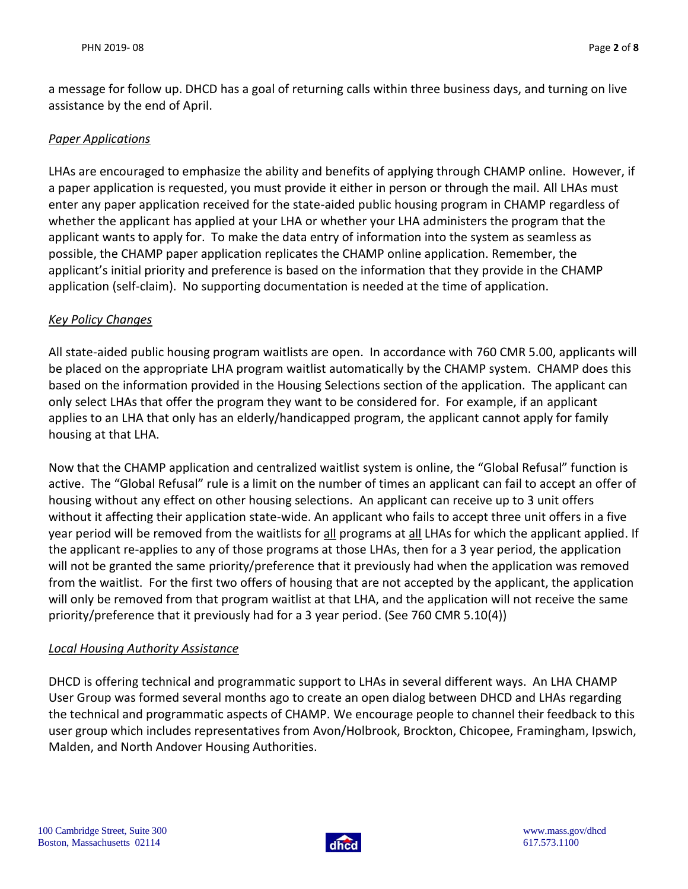a message for follow up. DHCD has a goal of returning calls within three business days, and turning on live assistance by the end of April.

#### *Paper Applications*

LHAs are encouraged to emphasize the ability and benefits of applying through CHAMP online. However, if a paper application is requested, you must provide it either in person or through the mail. All LHAs must enter any paper application received for the state-aided public housing program in CHAMP regardless of whether the applicant has applied at your LHA or whether your LHA administers the program that the applicant wants to apply for. To make the data entry of information into the system as seamless as possible, the CHAMP paper application replicates the CHAMP online application. Remember, the applicant's initial priority and preference is based on the information that they provide in the CHAMP application (self-claim). No supporting documentation is needed at the time of application.

#### *Key Policy Changes*

All state-aided public housing program waitlists are open. In accordance with 760 CMR 5.00, applicants will be placed on the appropriate LHA program waitlist automatically by the CHAMP system. CHAMP does this based on the information provided in the Housing Selections section of the application. The applicant can only select LHAs that offer the program they want to be considered for. For example, if an applicant applies to an LHA that only has an elderly/handicapped program, the applicant cannot apply for family housing at that LHA.

Now that the CHAMP application and centralized waitlist system is online, the "Global Refusal" function is active. The "Global Refusal" rule is a limit on the number of times an applicant can fail to accept an offer of housing without any effect on other housing selections. An applicant can receive up to 3 unit offers without it affecting their application state-wide. An applicant who fails to accept three unit offers in a five year period will be removed from the waitlists for all programs at all LHAs for which the applicant applied. If the applicant re-applies to any of those programs at those LHAs, then for a 3 year period, the application will not be granted the same priority/preference that it previously had when the application was removed from the waitlist. For the first two offers of housing that are not accepted by the applicant, the application will only be removed from that program waitlist at that LHA, and the application will not receive the same priority/preference that it previously had for a 3 year period. (See 760 CMR 5.10(4))

#### *Local Housing Authority Assistance*

DHCD is offering technical and programmatic support to LHAs in several different ways. An LHA CHAMP User Group was formed several months ago to create an open dialog between DHCD and LHAs regarding the technical and programmatic aspects of CHAMP. We encourage people to channel their feedback to this user group which includes representatives from Avon/Holbrook, Brockton, Chicopee, Framingham, Ipswich, Malden, and North Andover Housing Authorities.

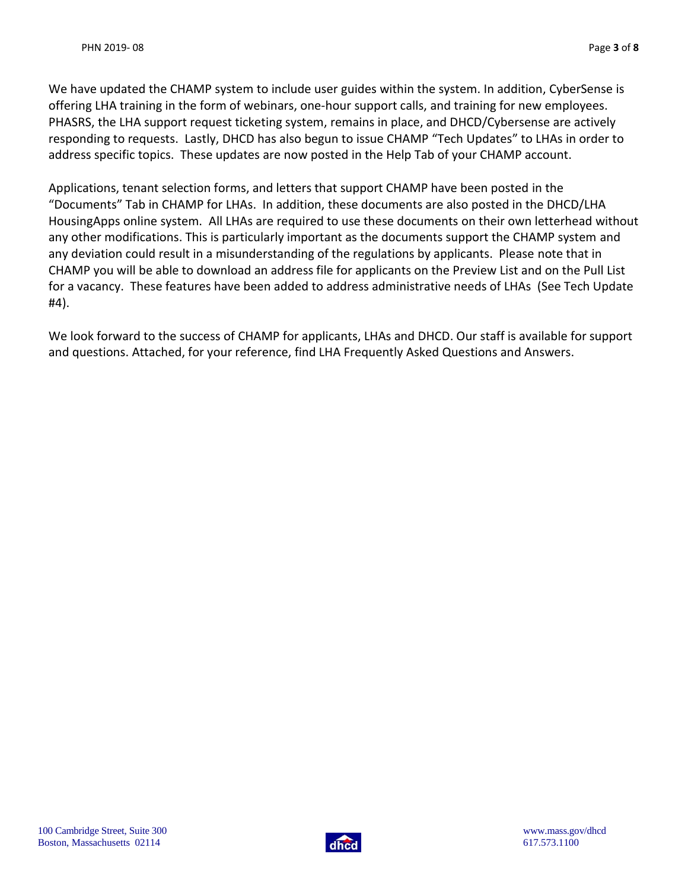We have updated the CHAMP system to include user guides within the system. In addition, CyberSense is offering LHA training in the form of webinars, one-hour support calls, and training for new employees. PHASRS, the LHA support request ticketing system, remains in place, and DHCD/Cybersense are actively responding to requests. Lastly, DHCD has also begun to issue CHAMP "Tech Updates" to LHAs in order to address specific topics. These updates are now posted in the Help Tab of your CHAMP account.

Applications, tenant selection forms, and letters that support CHAMP have been posted in the "Documents" Tab in CHAMP for LHAs. In addition, these documents are also posted in the DHCD/LHA HousingApps online system. All LHAs are required to use these documents on their own letterhead without any other modifications. This is particularly important as the documents support the CHAMP system and any deviation could result in a misunderstanding of the regulations by applicants. Please note that in CHAMP you will be able to download an address file for applicants on the Preview List and on the Pull List for a vacancy. These features have been added to address administrative needs of LHAs (See Tech Update #4).

We look forward to the success of CHAMP for applicants, LHAs and DHCD. Our staff is available for support and questions. Attached, for your reference, find LHA Frequently Asked Questions and Answers.

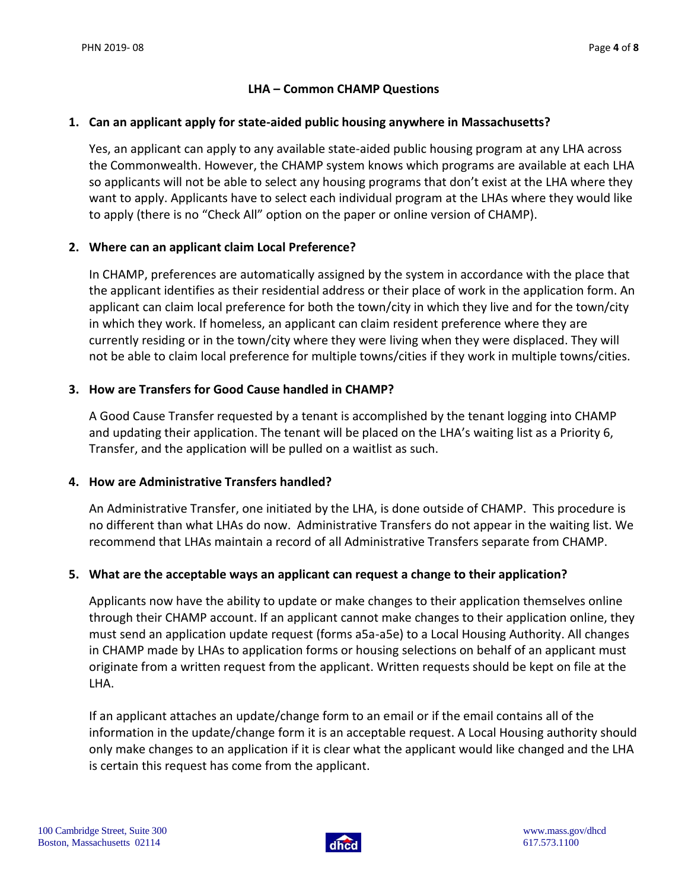#### **LHA – Common CHAMP Questions**

#### **1. Can an applicant apply for state-aided public housing anywhere in Massachusetts?**

Yes, an applicant can apply to any available state-aided public housing program at any LHA across the Commonwealth. However, the CHAMP system knows which programs are available at each LHA so applicants will not be able to select any housing programs that don't exist at the LHA where they want to apply. Applicants have to select each individual program at the LHAs where they would like to apply (there is no "Check All" option on the paper or online version of CHAMP).

#### **2. Where can an applicant claim Local Preference?**

In CHAMP, preferences are automatically assigned by the system in accordance with the place that the applicant identifies as their residential address or their place of work in the application form. An applicant can claim local preference for both the town/city in which they live and for the town/city in which they work. If homeless, an applicant can claim resident preference where they are currently residing or in the town/city where they were living when they were displaced. They will not be able to claim local preference for multiple towns/cities if they work in multiple towns/cities.

#### **3. How are Transfers for Good Cause handled in CHAMP?**

A Good Cause Transfer requested by a tenant is accomplished by the tenant logging into CHAMP and updating their application. The tenant will be placed on the LHA's waiting list as a Priority 6, Transfer, and the application will be pulled on a waitlist as such.

#### **4. How are Administrative Transfers handled?**

An Administrative Transfer, one initiated by the LHA, is done outside of CHAMP. This procedure is no different than what LHAs do now. Administrative Transfers do not appear in the waiting list. We recommend that LHAs maintain a record of all Administrative Transfers separate from CHAMP.

#### **5. What are the acceptable ways an applicant can request a change to their application?**

Applicants now have the ability to update or make changes to their application themselves online through their CHAMP account. If an applicant cannot make changes to their application online, they must send an application update request (forms a5a-a5e) to a Local Housing Authority. All changes in CHAMP made by LHAs to application forms or housing selections on behalf of an applicant must originate from a written request from the applicant. Written requests should be kept on file at the LHA.

If an applicant attaches an update/change form to an email or if the email contains all of the information in the update/change form it is an acceptable request. A Local Housing authority should only make changes to an application if it is clear what the applicant would like changed and the LHA is certain this request has come from the applicant.

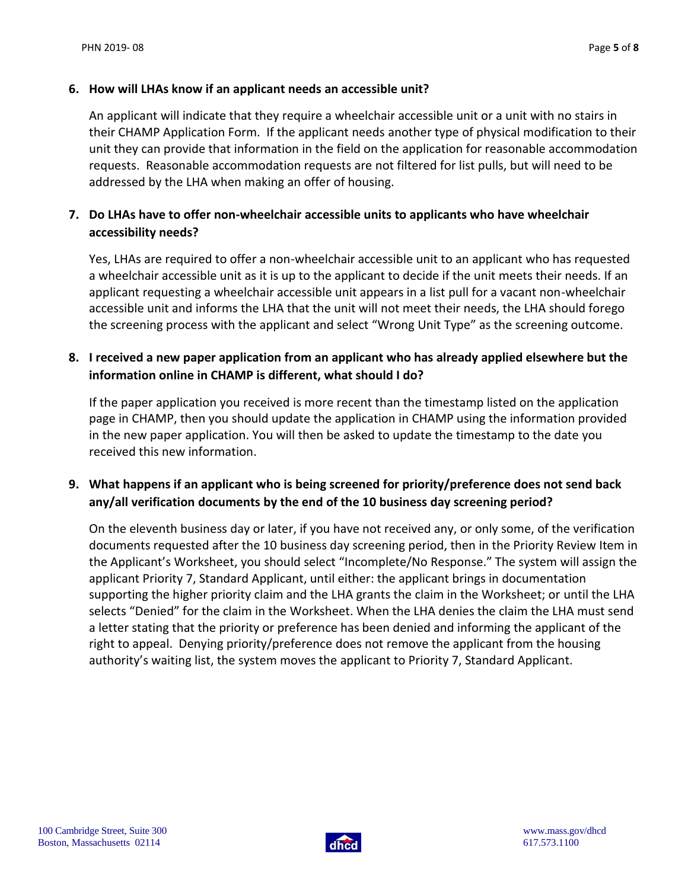#### **6. How will LHAs know if an applicant needs an accessible unit?**

An applicant will indicate that they require a wheelchair accessible unit or a unit with no stairs in their CHAMP Application Form. If the applicant needs another type of physical modification to their unit they can provide that information in the field on the application for reasonable accommodation requests. Reasonable accommodation requests are not filtered for list pulls, but will need to be addressed by the LHA when making an offer of housing.

# **7. Do LHAs have to offer non-wheelchair accessible units to applicants who have wheelchair accessibility needs?**

Yes, LHAs are required to offer a non-wheelchair accessible unit to an applicant who has requested a wheelchair accessible unit as it is up to the applicant to decide if the unit meets their needs. If an applicant requesting a wheelchair accessible unit appears in a list pull for a vacant non-wheelchair accessible unit and informs the LHA that the unit will not meet their needs, the LHA should forego the screening process with the applicant and select "Wrong Unit Type" as the screening outcome.

### **8. I received a new paper application from an applicant who has already applied elsewhere but the information online in CHAMP is different, what should I do?**

If the paper application you received is more recent than the timestamp listed on the application page in CHAMP, then you should update the application in CHAMP using the information provided in the new paper application. You will then be asked to update the timestamp to the date you received this new information.

# **9. What happens if an applicant who is being screened for priority/preference does not send back any/all verification documents by the end of the 10 business day screening period?**

On the eleventh business day or later, if you have not received any, or only some, of the verification documents requested after the 10 business day screening period, then in the Priority Review Item in the Applicant's Worksheet, you should select "Incomplete/No Response." The system will assign the applicant Priority 7, Standard Applicant, until either: the applicant brings in documentation supporting the higher priority claim and the LHA grants the claim in the Worksheet; or until the LHA selects "Denied" for the claim in the Worksheet. When the LHA denies the claim the LHA must send a letter stating that the priority or preference has been denied and informing the applicant of the right to appeal. Denying priority/preference does not remove the applicant from the housing authority's waiting list, the system moves the applicant to Priority 7, Standard Applicant.

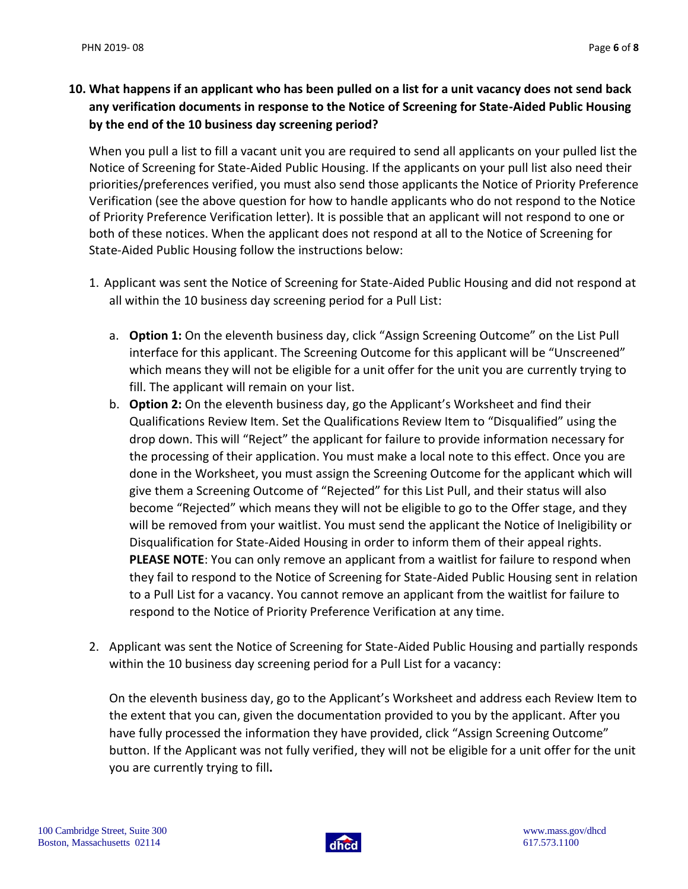# **10. What happens if an applicant who has been pulled on a list for a unit vacancy does not send back any verification documents in response to the Notice of Screening for State-Aided Public Housing by the end of the 10 business day screening period?**

When you pull a list to fill a vacant unit you are required to send all applicants on your pulled list the Notice of Screening for State-Aided Public Housing. If the applicants on your pull list also need their priorities/preferences verified, you must also send those applicants the Notice of Priority Preference Verification (see the above question for how to handle applicants who do not respond to the Notice of Priority Preference Verification letter). It is possible that an applicant will not respond to one or both of these notices. When the applicant does not respond at all to the Notice of Screening for State-Aided Public Housing follow the instructions below:

- 1. Applicant was sent the Notice of Screening for State-Aided Public Housing and did not respond at all within the 10 business day screening period for a Pull List:
	- a. **Option 1:** On the eleventh business day, click "Assign Screening Outcome" on the List Pull interface for this applicant. The Screening Outcome for this applicant will be "Unscreened" which means they will not be eligible for a unit offer for the unit you are currently trying to fill. The applicant will remain on your list.
	- b. **Option 2:** On the eleventh business day, go the Applicant's Worksheet and find their Qualifications Review Item. Set the Qualifications Review Item to "Disqualified" using the drop down. This will "Reject" the applicant for failure to provide information necessary for the processing of their application. You must make a local note to this effect. Once you are done in the Worksheet, you must assign the Screening Outcome for the applicant which will give them a Screening Outcome of "Rejected" for this List Pull, and their status will also become "Rejected" which means they will not be eligible to go to the Offer stage, and they will be removed from your waitlist. You must send the applicant the Notice of Ineligibility or Disqualification for State-Aided Housing in order to inform them of their appeal rights. **PLEASE NOTE**: You can only remove an applicant from a waitlist for failure to respond when they fail to respond to the Notice of Screening for State-Aided Public Housing sent in relation to a Pull List for a vacancy. You cannot remove an applicant from the waitlist for failure to respond to the Notice of Priority Preference Verification at any time.
- 2. Applicant was sent the Notice of Screening for State-Aided Public Housing and partially responds within the 10 business day screening period for a Pull List for a vacancy:

On the eleventh business day, go to the Applicant's Worksheet and address each Review Item to the extent that you can, given the documentation provided to you by the applicant. After you have fully processed the information they have provided, click "Assign Screening Outcome" button. If the Applicant was not fully verified, they will not be eligible for a unit offer for the unit you are currently trying to fill**.**

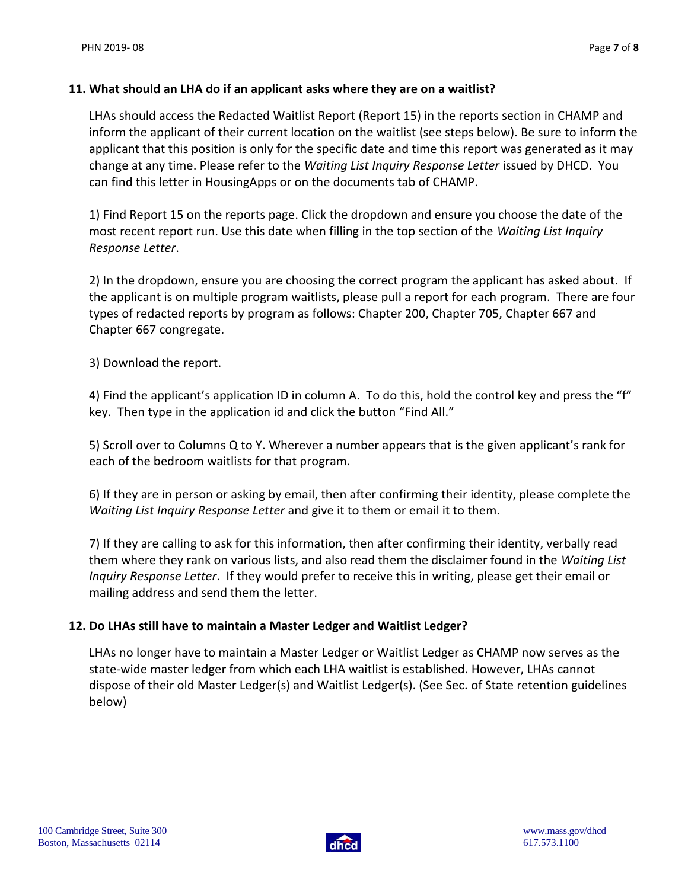#### **11. What should an LHA do if an applicant asks where they are on a waitlist?**

LHAs should access the Redacted Waitlist Report (Report 15) in the reports section in CHAMP and inform the applicant of their current location on the waitlist (see steps below). Be sure to inform the applicant that this position is only for the specific date and time this report was generated as it may change at any time. Please refer to the *Waiting List Inquiry Response Letter* issued by DHCD. You can find this letter in HousingApps or on the documents tab of CHAMP.

1) Find Report 15 on the reports page. Click the dropdown and ensure you choose the date of the most recent report run. Use this date when filling in the top section of the *Waiting List Inquiry Response Letter*.

2) In the dropdown, ensure you are choosing the correct program the applicant has asked about. If the applicant is on multiple program waitlists, please pull a report for each program. There are four types of redacted reports by program as follows: Chapter 200, Chapter 705, Chapter 667 and Chapter 667 congregate.

3) Download the report.

4) Find the applicant's application ID in column A. To do this, hold the control key and press the "f" key. Then type in the application id and click the button "Find All."

5) Scroll over to Columns Q to Y. Wherever a number appears that is the given applicant's rank for each of the bedroom waitlists for that program.

6) If they are in person or asking by email, then after confirming their identity, please complete the *Waiting List Inquiry Response Letter* and give it to them or email it to them.

7) If they are calling to ask for this information, then after confirming their identity, verbally read them where they rank on various lists, and also read them the disclaimer found in the *Waiting List Inquiry Response Letter*. If they would prefer to receive this in writing, please get their email or mailing address and send them the letter.

#### **12. Do LHAs still have to maintain a Master Ledger and Waitlist Ledger?**

LHAs no longer have to maintain a Master Ledger or Waitlist Ledger as CHAMP now serves as the state-wide master ledger from which each LHA waitlist is established. However, LHAs cannot dispose of their old Master Ledger(s) and Waitlist Ledger(s). (See Sec. of State retention guidelines below)